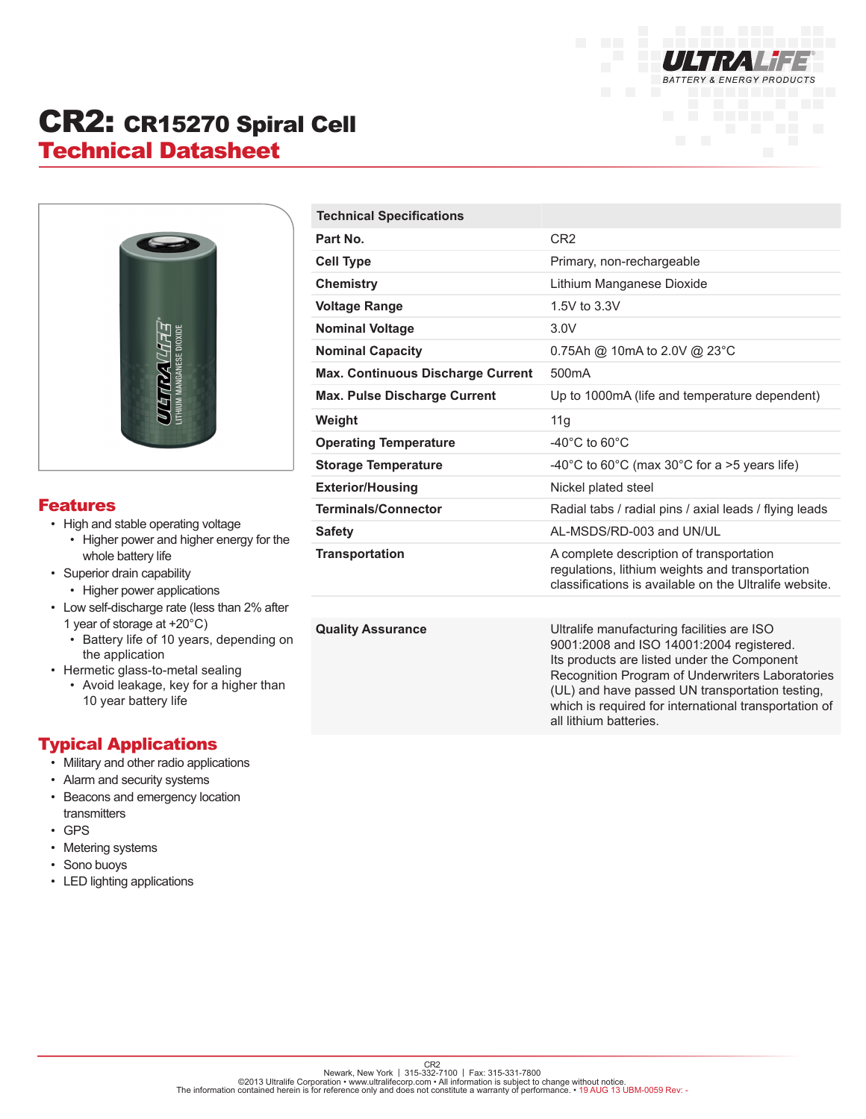

## CR2: CR15270 Spiral Cell Technical Datasheet



## Features

- High and stable operating voltage
	- Higher power and higher energy for the whole battery life
- Superior drain capability
	- Higher power applications
- Low self-discharge rate (less than 2% after 1 year of storage at +20°C)
	- Battery life of 10 years, depending on the application
- Hermetic glass-to-metal sealing
	- Avoid leakage, key for a higher than 10 year battery life

## Typical Applications

- Military and other radio applications
- Alarm and security systems
- Beacons and emergency location transmitters
- GPS
- Metering systems
- Sono buoys
- LED lighting applications

| <b>Technical Specifications</b>          |                                                                                                                                                       |
|------------------------------------------|-------------------------------------------------------------------------------------------------------------------------------------------------------|
| Part No.                                 | CR <sub>2</sub>                                                                                                                                       |
| <b>Cell Type</b>                         | Primary, non-rechargeable                                                                                                                             |
| <b>Chemistry</b>                         | Lithium Manganese Dioxide                                                                                                                             |
| <b>Voltage Range</b>                     | 1.5V to 3.3V                                                                                                                                          |
| <b>Nominal Voltage</b>                   | 3.0V                                                                                                                                                  |
| <b>Nominal Capacity</b>                  | 0.75Ah @ 10mA to 2.0V @ 23°C                                                                                                                          |
| <b>Max. Continuous Discharge Current</b> | 500 <sub>m</sub> A                                                                                                                                    |
| <b>Max. Pulse Discharge Current</b>      | Up to 1000mA (life and temperature dependent)                                                                                                         |
| Weight                                   | 11g                                                                                                                                                   |
| <b>Operating Temperature</b>             | $-40^{\circ}$ C to 60 $^{\circ}$ C                                                                                                                    |
| <b>Storage Temperature</b>               | -40°C to 60°C (max 30°C for a >5 years life)                                                                                                          |
| <b>Exterior/Housing</b>                  | Nickel plated steel                                                                                                                                   |
| <b>Terminals/Connector</b>               | Radial tabs / radial pins / axial leads / flying leads                                                                                                |
| <b>Safety</b>                            | AL-MSDS/RD-003 and UN/UL                                                                                                                              |
|                                          |                                                                                                                                                       |
| <b>Transportation</b>                    | A complete description of transportation<br>regulations, lithium weights and transportation<br>classifications is available on the Ultralife website. |

**Quality Assurance** Ultralife manufacturing facilities are ISO 9001:2008 and ISO 14001:2004 registered. Its products are listed under the Component Recognition Program of Underwriters Laboratories (UL) and have passed UN transportation testing, which is required for international transportation of all lithium batteries.